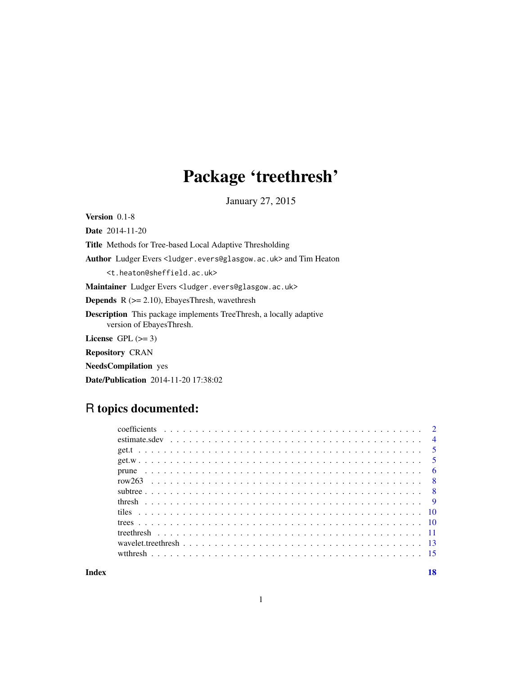## Package 'treethresh'

January 27, 2015

<span id="page-0-0"></span>Version 0.1-8 Date 2014-11-20

Title Methods for Tree-based Local Adaptive Thresholding

Author Ludger Evers <ludger.evers@glasgow.ac.uk> and Tim Heaton

<t.heaton@sheffield.ac.uk>

Maintainer Ludger Evers <ludger.evers@glasgow.ac.uk>

**Depends**  $R$  ( $>= 2.10$ ), EbayesThresh, wavethresh

Description This package implements TreeThresh, a locally adaptive version of EbayesThresh.

License GPL  $(>= 3)$ 

Repository CRAN

NeedsCompilation yes

Date/Publication 2014-11-20 17:38:02

## R topics documented:

| wavelet.treethresh $\ldots$ $\ldots$ $\ldots$ $\ldots$ $\ldots$ $\ldots$ $\ldots$ $\ldots$ $\ldots$ $\ldots$ $\ldots$ $\ldots$ $\ldots$ $\ldots$ $\ldots$ $\ldots$ |  |
|--------------------------------------------------------------------------------------------------------------------------------------------------------------------|--|
|                                                                                                                                                                    |  |
|                                                                                                                                                                    |  |

**Index** 2008 **[18](#page-17-0)**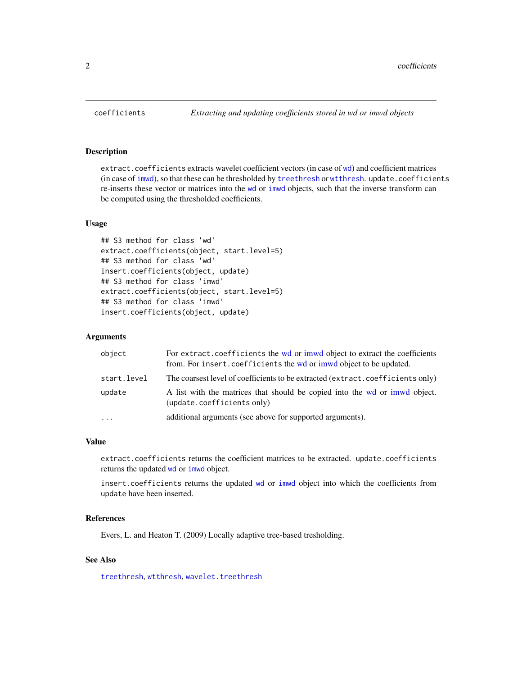#### <span id="page-1-2"></span>Description

extract.coefficients extracts wavelet coefficient vectors (in case of [wd](#page-0-0)) and coefficient matrices (in case of [imwd](#page-0-0)), so that these can be thresholded by [treethresh](#page-10-1) or [wtthresh](#page-14-1). update.coefficients re-inserts these vector or matrices into the [wd](#page-0-0) or [imwd](#page-0-0) objects, such that the inverse transform can be computed using the thresholded coefficients.

## Usage

```
## S3 method for class 'wd'
extract.coefficients(object, start.level=5)
## S3 method for class 'wd'
insert.coefficients(object, update)
## S3 method for class 'imwd'
extract.coefficients(object, start.level=5)
## S3 method for class 'imwd'
insert.coefficients(object, update)
```
#### Arguments

| object      | For extract coefficients the wd or imwd object to extract the coefficients<br>from. For insert. coefficients the wd or imwd object to be updated. |
|-------------|---------------------------------------------------------------------------------------------------------------------------------------------------|
| start.level | The coarsest level of coefficients to be extracted (extract.coefficients only)                                                                    |
| update      | A list with the matrices that should be copied into the wd or imwd object.<br>(update.coefficients only)                                          |
| $\cdots$    | additional arguments (see above for supported arguments).                                                                                         |

#### Value

extract.coefficients returns the coefficient matrices to be extracted. update.coefficients returns the updated [wd](#page-0-0) or [imwd](#page-0-0) object.

insert.coefficients returns the updated [wd](#page-0-0) or [imwd](#page-0-0) object into which the coefficients from update have been inserted.

#### References

Evers, L. and Heaton T. (2009) Locally adaptive tree-based tresholding.

## See Also

[treethresh](#page-10-1), [wtthresh](#page-14-1), [wavelet.treethresh](#page-12-1)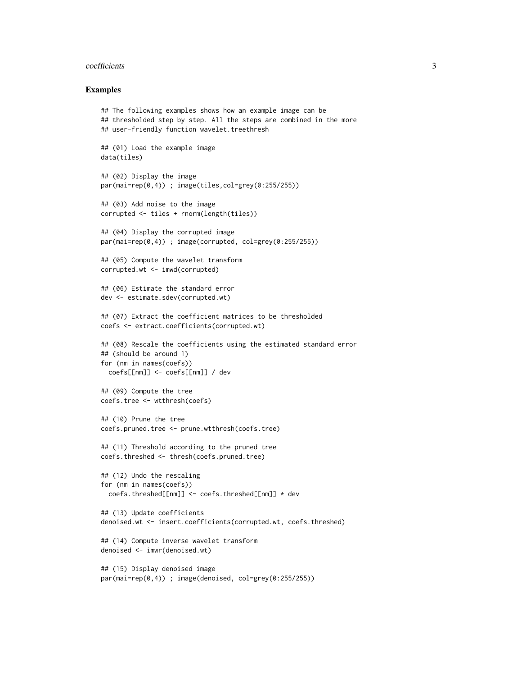#### coefficients 3

#### Examples

```
## The following examples shows how an example image can be
## thresholded step by step. All the steps are combined in the more
## user-friendly function wavelet.treethresh
## (01) Load the example image
data(tiles)
## (02) Display the image
par(mai=rep(0,4)) ; image(tiles,col=grey(0:255/255))
## (03) Add noise to the image
corrupted <- tiles + rnorm(length(tiles))
## (04) Display the corrupted image
par(mai=rep(0,4)) ; image(corrupted, col=grey(0:255/255))
## (05) Compute the wavelet transform
corrupted.wt <- imwd(corrupted)
## (06) Estimate the standard error
dev <- estimate.sdev(corrupted.wt)
## (07) Extract the coefficient matrices to be thresholded
coefs <- extract.coefficients(corrupted.wt)
## (08) Rescale the coefficients using the estimated standard error
## (should be around 1)
for (nm in names(coefs))
  coefs[[nm]] <- coefs[[nm]] / dev
## (09) Compute the tree
coefs.tree <- wtthresh(coefs)
## (10) Prune the tree
coefs.pruned.tree <- prune.wtthresh(coefs.tree)
## (11) Threshold according to the pruned tree
coefs.threshed <- thresh(coefs.pruned.tree)
## (12) Undo the rescaling
for (nm in names(coefs))
  coefs.threshed[[nm]] <- coefs.threshed[[nm]] * dev
## (13) Update coefficients
denoised.wt <- insert.coefficients(corrupted.wt, coefs.threshed)
## (14) Compute inverse wavelet transform
denoised <- imwr(denoised.wt)
## (15) Display denoised image
par(mai=rep(0,4)) ; image(denoised, col=grey(0:255/255))
```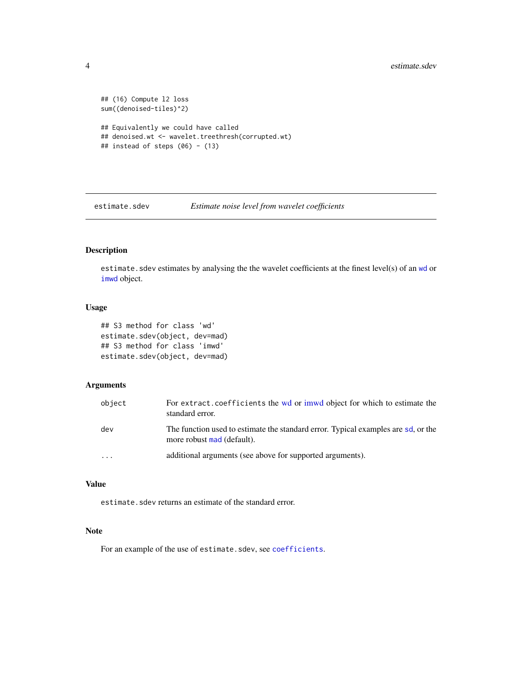```
## (16) Compute l2 loss
sum((denoised-tiles)^2)
## Equivalently we could have called
## denoised.wt <- wavelet.treethresh(corrupted.wt)
## instead of steps (06) - (13)
```
<span id="page-3-1"></span>estimate.sdev *Estimate noise level from wavelet coefficients*

## Description

estimate. sdev estimates by analysing the the wavelet coefficients at the finest level(s) of an [wd](#page-0-0) or [imwd](#page-0-0) object.

## Usage

```
## S3 method for class 'wd'
estimate.sdev(object, dev=mad)
## S3 method for class 'imwd'
estimate.sdev(object, dev=mad)
```
#### Arguments

| object                  | For extract.coefficients the wd or imwd object for which to estimate the<br>standard error.                     |
|-------------------------|-----------------------------------------------------------------------------------------------------------------|
| dev                     | The function used to estimate the standard error. Typical examples are sd, or the<br>more robust mad (default). |
| $\cdot$ $\cdot$ $\cdot$ | additional arguments (see above for supported arguments).                                                       |

## Value

estimate.sdev returns an estimate of the standard error.

## Note

For an example of the use of estimate.sdev, see [coefficients](#page-1-1).

<span id="page-3-0"></span>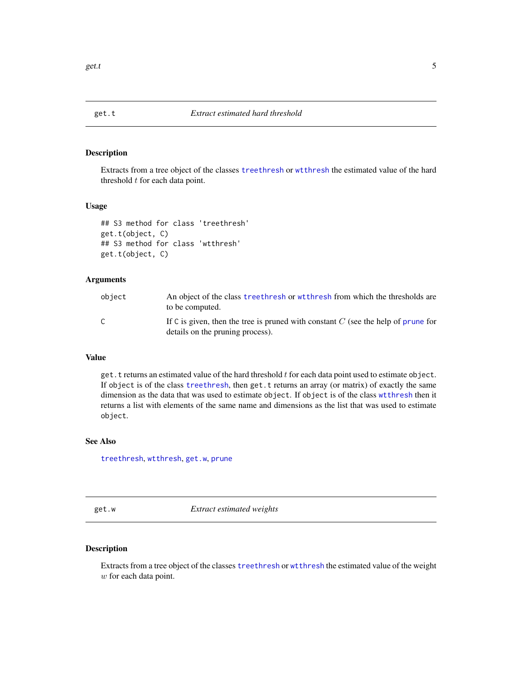<span id="page-4-2"></span><span id="page-4-0"></span>

#### Description

Extracts from a tree object of the classes [treethresh](#page-10-1) or [wtthresh](#page-14-1) the estimated value of the hard threshold  $t$  for each data point.

#### Usage

```
## S3 method for class 'treethresh'
get.t(object, C)
## S3 method for class 'wtthresh'
get.t(object, C)
```
#### Arguments

| object | An object of the class treethresh or with resh from which the thresholds are<br>to be computed.                         |
|--------|-------------------------------------------------------------------------------------------------------------------------|
| C      | If C is given, then the tree is pruned with constant $C$ (see the help of prune for<br>details on the pruning process). |

## Value

get.  $t$  returns an estimated value of the hard threshold  $t$  for each data point used to estimate object. If object is of the class [treethresh](#page-10-1), then get.t returns an array (or matrix) of exactly the same dimension as the data that was used to estimate object. If object is of the class [wtthresh](#page-14-1) then it returns a list with elements of the same name and dimensions as the list that was used to estimate object.

#### See Also

[treethresh](#page-10-1), [wtthresh](#page-14-1), [get.w](#page-4-1), [prune](#page-5-1)

<span id="page-4-1"></span>get.w *Extract estimated weights*

## Description

Extracts from a tree object of the classes [treethresh](#page-10-1) or [wtthresh](#page-14-1) the estimated value of the weight w for each data point.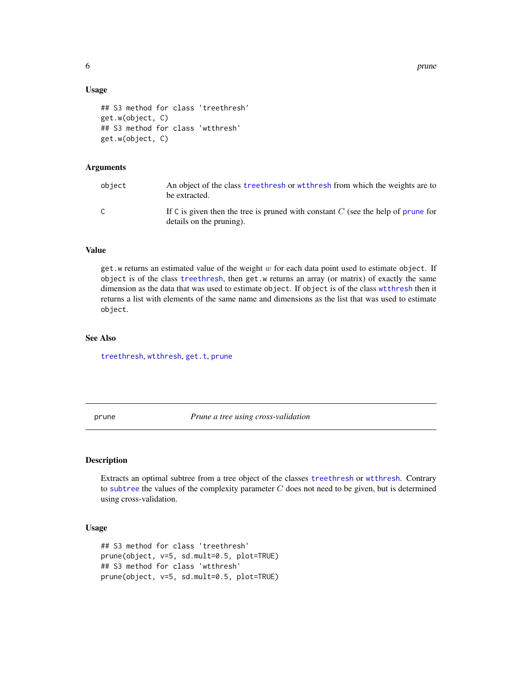6 prune to the contract of the contract of the contract of the contract of the contract of the contract of the contract of the contract of the contract of the contract of the contract of the contract of the contract of the

#### Usage

```
## S3 method for class 'treethresh'
get.w(object, C)
## S3 method for class 'wtthresh'
get.w(object, C)
```
#### **Arguments**

| object | An object of the class treethresh or with resh from which the weights are to<br>be extracted.                  |
|--------|----------------------------------------------------------------------------------------------------------------|
|        | If C is given then the tree is pruned with constant $C$ (see the help of prune for<br>details on the pruning). |

## Value

get.w returns an estimated value of the weight  $w$  for each data point used to estimate object. If object is of the class [treethresh](#page-10-1), then get.w returns an array (or matrix) of exactly the same dimension as the data that was used to estimate object. If object is of the class [wtthresh](#page-14-1) then it returns a list with elements of the same name and dimensions as the list that was used to estimate object.

## See Also

[treethresh](#page-10-1), [wtthresh](#page-14-1), [get.t](#page-4-2), [prune](#page-5-1)

<span id="page-5-1"></span>prune *Prune a tree using cross-validation*

## Description

Extracts an optimal subtree from a tree object of the classes [treethresh](#page-10-1) or [wtthresh](#page-14-1). Contrary to [subtree](#page-7-1) the values of the complexity parameter  $C$  does not need to be given, but is determined using cross-validation.

#### Usage

```
## S3 method for class 'treethresh'
prune(object, v=5, sd.mult=0.5, plot=TRUE)
## S3 method for class 'wtthresh'
prune(object, v=5, sd.mult=0.5, plot=TRUE)
```
<span id="page-5-0"></span>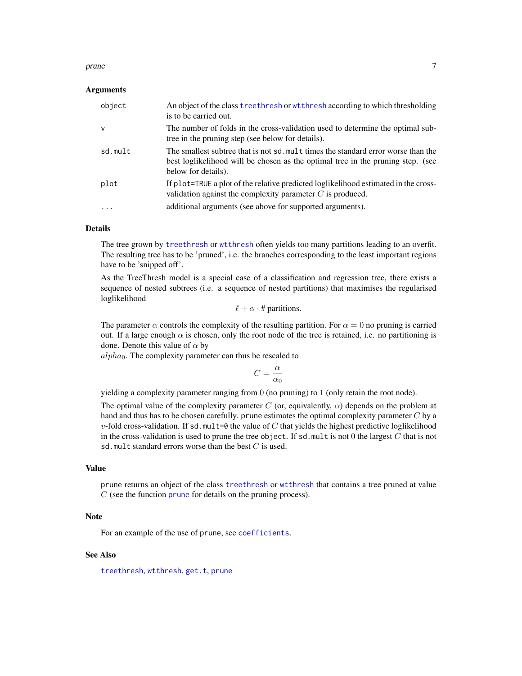#### <span id="page-6-0"></span>prune 2008 and 2008 and 2008 and 2008 and 2008 and 2008 and 2008 and 2008 and 2008 and 2008 and 2008 and 2008 and 2008 and 2008 and 2008 and 2008 and 2008 and 2008 and 2008 and 2008 and 2008 and 2008 and 2008 and 2008 and

#### Arguments

| object                  | An object of the class treethresh or wtthresh according to which thresholding<br>is to be carried out.                                                                                      |
|-------------------------|---------------------------------------------------------------------------------------------------------------------------------------------------------------------------------------------|
| $\mathsf{v}$            | The number of folds in the cross-validation used to determine the optimal sub-<br>tree in the pruning step (see below for details).                                                         |
| sd.mult                 | The smallest subtree that is not sd. mult times the standard error worse than the<br>best loglikelihood will be chosen as the optimal tree in the pruning step. (see<br>below for details). |
| plot                    | If plot=TRUE a plot of the relative predicted loglikelihood estimated in the cross-<br>validation against the complexity parameter $C$ is produced.                                         |
| $\cdot$ $\cdot$ $\cdot$ | additional arguments (see above for supported arguments).                                                                                                                                   |

## **Details**

The tree grown by [treethresh](#page-10-1) or [wtthresh](#page-14-1) often yields too many partitions leading to an overfit. The resulting tree has to be 'pruned', i.e. the branches corresponding to the least important regions have to be 'snipped off'.

As the TreeThresh model is a special case of a classification and regression tree, there exists a sequence of nested subtrees (i.e. a sequence of nested partitions) that maximises the regularised loglikelihood

 $\ell + \alpha \cdot \text{# partitions.}$ 

The parameter  $\alpha$  controls the complexity of the resulting partition. For  $\alpha = 0$  no pruning is carried out. If a large enough  $\alpha$  is chosen, only the root node of the tree is retained, i.e. no partitioning is done. Denote this value of  $\alpha$  by

 $alpha_0$ . The complexity parameter can thus be rescaled to

$$
C=\frac{\alpha}{\alpha_0}
$$

yielding a complexity parameter ranging from 0 (no pruning) to 1 (only retain the root node).

The optimal value of the complexity parameter C (or, equivalently,  $\alpha$ ) depends on the problem at hand and thus has to be chosen carefully. prune estimates the optimal complexity parameter  $C$  by a  $v$ -fold cross-validation. If sd.mult=0 the value of C that yields the highest predictive loglikelihood in the cross-validation is used to prune the tree object. If sd.mult is not 0 the largest  $C$  that is not sd.mult standard errors worse than the best  $C$  is used.

#### Value

prune returns an object of the class [treethresh](#page-10-1) or [wtthresh](#page-14-1) that contains a tree pruned at value  $C$  (see the function [prune](#page-5-1) for details on the pruning process).

## Note

For an example of the use of prune, see [coefficients](#page-1-1).

#### See Also

[treethresh](#page-10-1), [wtthresh](#page-14-1), [get.t](#page-4-2), [prune](#page-5-1)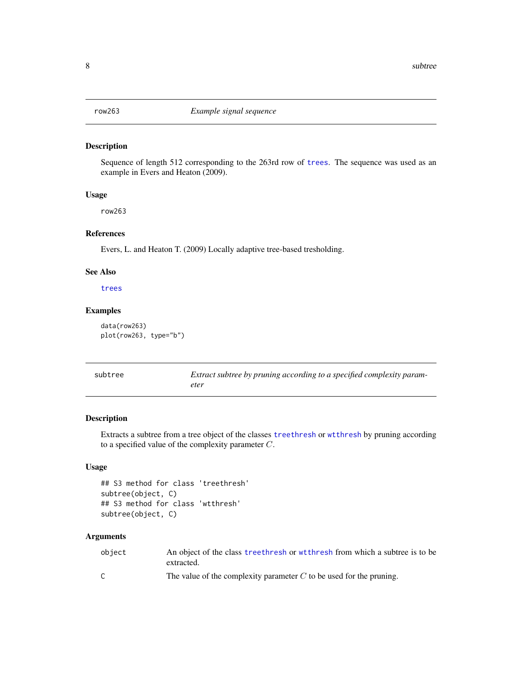<span id="page-7-2"></span><span id="page-7-0"></span>

## Description

Sequence of length 512 corresponding to the 263rd row of [trees](#page-9-1). The sequence was used as an example in Evers and Heaton (2009).

#### Usage

row263

## References

Evers, L. and Heaton T. (2009) Locally adaptive tree-based tresholding.

## See Also

[trees](#page-9-1)

### Examples

```
data(row263)
plot(row263, type="b")
```
<span id="page-7-1"></span>

| subtree | Extract subtree by pruning according to a specified complexity param- |
|---------|-----------------------------------------------------------------------|
|         | eter                                                                  |

#### Description

Extracts a subtree from a tree object of the classes [treethresh](#page-10-1) or [wtthresh](#page-14-1) by pruning according to a specified value of the complexity parameter C.

## Usage

```
## S3 method for class 'treethresh'
subtree(object, C)
## S3 method for class 'wtthresh'
subtree(object, C)
```

| object | An object of the class treethresh or with resh from which a subtree is to be<br>extracted. |
|--------|--------------------------------------------------------------------------------------------|
|        | The value of the complexity parameter $C$ to be used for the pruning.                      |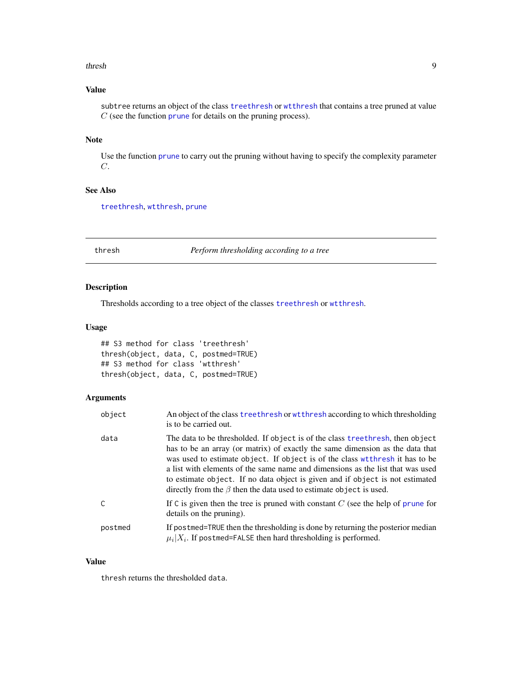#### <span id="page-8-0"></span>thresh 9

## Value

subtree returns an object of the class [treethresh](#page-10-1) or [wtthresh](#page-14-1) that contains a tree pruned at value  $C$  (see the function [prune](#page-5-1) for details on the pruning process).

#### Note

Use the function [prune](#page-5-1) to carry out the pruning without having to specify the complexity parameter  $C$ .

## See Also

[treethresh](#page-10-1), [wtthresh](#page-14-1), [prune](#page-5-1)

<span id="page-8-1"></span>

thresh *Perform thresholding according to a tree*

## Description

Thresholds according to a tree object of the classes [treethresh](#page-10-1) or [wtthresh](#page-14-1).

#### Usage

## S3 method for class 'treethresh' thresh(object, data, C, postmed=TRUE) ## S3 method for class 'wtthresh' thresh(object, data, C, postmed=TRUE)

#### Arguments

| object  | An object of the class treethresh or wtthresh according to which thresholding<br>is to be carried out.                                                                                                                                                                                                                                                                                                                                                                                          |
|---------|-------------------------------------------------------------------------------------------------------------------------------------------------------------------------------------------------------------------------------------------------------------------------------------------------------------------------------------------------------------------------------------------------------------------------------------------------------------------------------------------------|
| data    | The data to be thresholded. If object is of the class treetheresh, then object<br>has to be an array (or matrix) of exactly the same dimension as the data that<br>was used to estimate object. If object is of the class with resh it has to be<br>a list with elements of the same name and dimensions as the list that was used<br>to estimate object. If no data object is given and if object is not estimated<br>directly from the $\beta$ then the data used to estimate object is used. |
| C       | If C is given then the tree is pruned with constant $C$ (see the help of prune for<br>details on the pruning).                                                                                                                                                                                                                                                                                                                                                                                  |
| postmed | If postmed=TRUE then the thresholding is done by returning the posterior median<br>$\mu_i   X_i$ . If postmed=FALSE then hard thresholding is performed.                                                                                                                                                                                                                                                                                                                                        |

#### Value

thresh returns the thresholded data.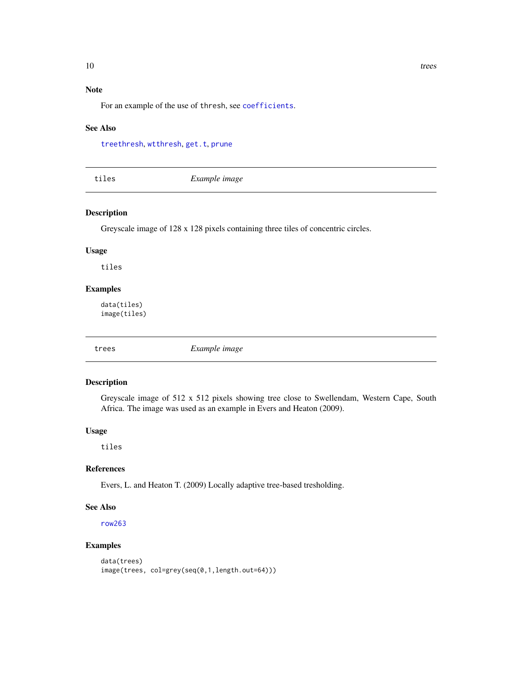## Note

For an example of the use of thresh, see [coefficients](#page-1-1).

#### See Also

[treethresh](#page-10-1), [wtthresh](#page-14-1), [get.t](#page-4-2), [prune](#page-5-1)

| tiles | Example image |  |
|-------|---------------|--|
|       |               |  |

#### Description

Greyscale image of 128 x 128 pixels containing three tiles of concentric circles.

## Usage

tiles

## Examples

data(tiles) image(tiles)

<span id="page-9-1"></span>

trees *Example image*

#### Description

Greyscale image of 512 x 512 pixels showing tree close to Swellendam, Western Cape, South Africa. The image was used as an example in Evers and Heaton (2009).

#### Usage

tiles

## References

Evers, L. and Heaton T. (2009) Locally adaptive tree-based tresholding.

## See Also

[row263](#page-7-2)

#### Examples

```
data(trees)
image(trees, col=grey(seq(0,1,length.out=64)))
```
<span id="page-9-0"></span>10 trees and the state of the state of the state of the state of the state of the state of the state of the state of the state of the state of the state of the state of the state of the state of the state of the state of t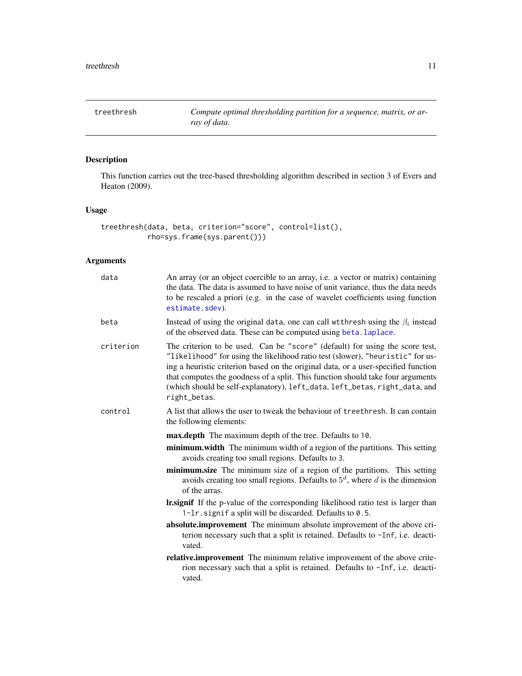<span id="page-10-1"></span><span id="page-10-0"></span>treethresh *Compute optimal thresholding partition for a sequence, matrix, or array of data.*

## Description

This function carries out the tree-based thresholding algorithm described in section 3 of Evers and Heaton (2009).

## Usage

```
treethresh(data, beta, criterion="score", control=list(),
          rho=sys.frame(sys.parent()))
```

| data      | An array (or an object coercible to an array, i.e. a vector or matrix) containing<br>the data. The data is assumed to have noise of unit variance, thus the data needs<br>to be rescaled a priori (e.g. in the case of wavelet coefficients using function<br>estimate.sdev).                                                                                                                                                         |
|-----------|---------------------------------------------------------------------------------------------------------------------------------------------------------------------------------------------------------------------------------------------------------------------------------------------------------------------------------------------------------------------------------------------------------------------------------------|
| beta      | Instead of using the original data, one can call wtthresh using the $\beta_i$ instead<br>of the observed data. These can be computed using beta. laplace.                                                                                                                                                                                                                                                                             |
| criterion | The criterion to be used. Can be "score" (default) for using the score test,<br>"likelihood" for using the likelihood ratio test (slower), "heuristic" for us-<br>ing a heuristic criterion based on the original data, or a user-specified function<br>that computes the goodness of a split. This function should take four arguments<br>(which should be self-explanatory), left_data, left_betas, right_data, and<br>right_betas. |
| control   | A list that allows the user to tweak the behaviour of treethresh. It can contain<br>the following elements:                                                                                                                                                                                                                                                                                                                           |
|           | <b>max.depth</b> The maximum depth of the tree. Defaults to 10.                                                                                                                                                                                                                                                                                                                                                                       |
|           | minimum.width The minimum width of a region of the partitions. This setting<br>avoids creating too small regions. Defaults to 3.                                                                                                                                                                                                                                                                                                      |
|           |                                                                                                                                                                                                                                                                                                                                                                                                                                       |
|           | minimum.size The minimum size of a region of the partitions. This setting<br>avoids creating too small regions. Defaults to $5d$ , where d is the dimension<br>of the arras.                                                                                                                                                                                                                                                          |
|           | <b>Insignif</b> If the p-value of the corresponding likelihood ratio test is larger than<br>1-1r. signif a split will be discarded. Defaults to 0.5.                                                                                                                                                                                                                                                                                  |
|           | absolute.improvement The minimum absolute improvement of the above cri-<br>terion necessary such that a split is retained. Defaults to -Inf, i.e. deacti-<br>vated.                                                                                                                                                                                                                                                                   |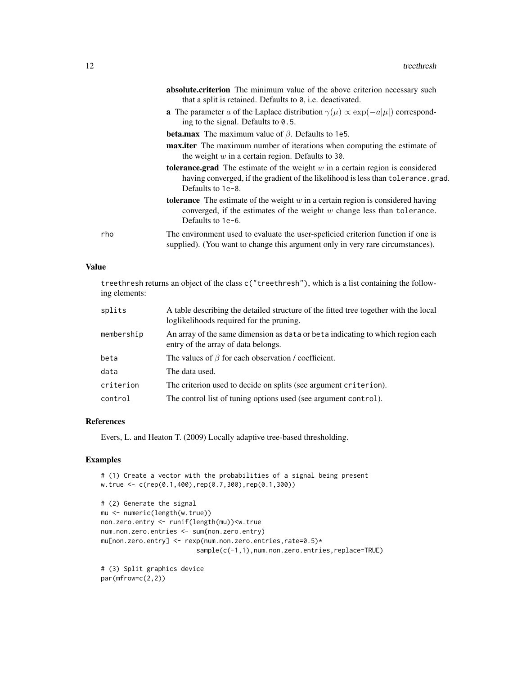|     | absolute.criterion The minimum value of the above criterion necessary such<br>that a split is retained. Defaults to 0, i.e. deactivated.                                                           |
|-----|----------------------------------------------------------------------------------------------------------------------------------------------------------------------------------------------------|
|     | <b>a</b> The parameter a of the Laplace distribution $\gamma(\mu) \propto \exp(-a \mu )$ correspond-<br>ing to the signal. Defaults to $0.5$ .                                                     |
|     | <b>beta.max</b> The maximum value of $\beta$ . Defaults to 1e5.                                                                                                                                    |
|     | <b>max.iter</b> The maximum number of iterations when computing the estimate of<br>the weight $w$ in a certain region. Defaults to 30.                                                             |
|     | <b>tolerance.grad</b> The estimate of the weight $w$ in a certain region is considered<br>having converged, if the gradient of the likelihood is less than tolerance.grad.<br>Defaults to $1e-8$ . |
|     | <b>tolerance</b> The estimate of the weight $w$ in a certain region is considered having<br>converged, if the estimates of the weight $w$ change less than tolerance.<br>Defaults to 1e-6.         |
| rho | The environment used to evaluate the user-speficied criterion function if one is<br>supplied). (You want to change this argument only in very rare circumstances).                                 |

## Value

treethresh returns an object of the class c("treethresh"), which is a list containing the following elements:

| splits     | A table describing the detailed structure of the fitted tree together with the local<br>loglikelihoods required for the pruning. |
|------------|----------------------------------------------------------------------------------------------------------------------------------|
| membership | An array of the same dimension as data or beta indicating to which region each<br>entry of the array of data belongs.            |
| beta       | The values of $\beta$ for each observation / coefficient.                                                                        |
| data       | The data used.                                                                                                                   |
| criterion  | The criterion used to decide on splits (see argument criterion).                                                                 |
| control    | The control list of tuning options used (see argument control).                                                                  |

### References

Evers, L. and Heaton T. (2009) Locally adaptive tree-based thresholding.

## Examples

```
# (1) Create a vector with the probabilities of a signal being present
w.true <- c(rep(0.1,400),rep(0.7,300),rep(0.1,300))
```

```
# (2) Generate the signal
mu <- numeric(length(w.true))
non.zero.entry <- runif(length(mu))<w.true
num.non.zero.entries <- sum(non.zero.entry)
mu[non.zero.entry] <- rexp(num.non.zero.entries,rate=0.5)*
                        sample(c(-1,1),num.non.zero.entries,replace=TRUE)
```
# (3) Split graphics device par(mfrow=c(2,2))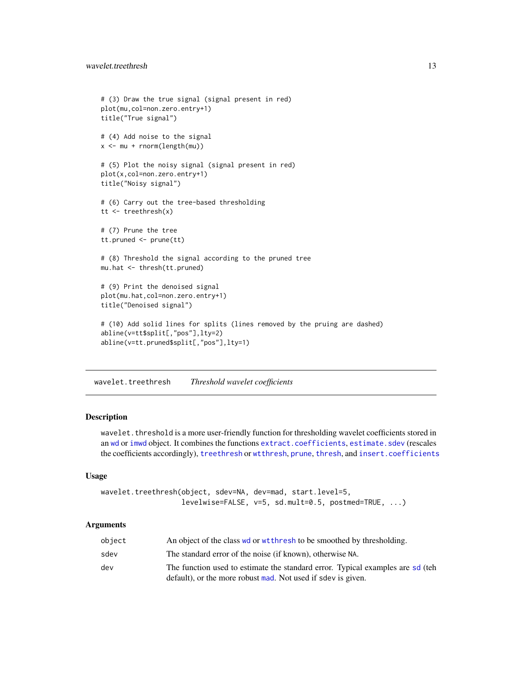```
# (3) Draw the true signal (signal present in red)
plot(mu,col=non.zero.entry+1)
title("True signal")
# (4) Add noise to the signal
x <- mu + rnorm(length(mu))
# (5) Plot the noisy signal (signal present in red)
plot(x,col=non.zero.entry+1)
title("Noisy signal")
# (6) Carry out the tree-based thresholding
tt <- treethresh(x)
# (7) Prune the tree
tt.pruned <- prune(tt)
# (8) Threshold the signal according to the pruned tree
mu.hat <- thresh(tt.pruned)
# (9) Print the denoised signal
plot(mu.hat,col=non.zero.entry+1)
title("Denoised signal")
# (10) Add solid lines for splits (lines removed by the pruing are dashed)
abline(v=tt$split[,"pos"],lty=2)
abline(v=tt.pruned$split[,"pos"],lty=1)
```
<span id="page-12-1"></span>wavelet.treethresh *Threshold wavelet coefficients*

## Description

wavelet.threshold is a more user-friendly function for thresholding wavelet coefficients stored in an [wd](#page-0-0) or [imwd](#page-0-0) object. It combines the functions [extract.coefficients](#page-1-2), [estimate.sdev](#page-3-1) (rescales the coefficients accordingly), [treethresh](#page-10-1) or [wtthresh](#page-14-1), [prune](#page-5-1), [thresh](#page-8-1), and [insert.coefficients](#page-1-2)

#### Usage

```
wavelet.treethresh(object, sdev=NA, dev=mad, start.level=5,
                   levelwise=FALSE, v=5, sd.mult=0.5, postmed=TRUE, ...)
```

| object | An object of the class we or wtthresh to be smoothed by thresholding.                                                                          |
|--------|------------------------------------------------------------------------------------------------------------------------------------------------|
| sdev   | The standard error of the noise (if known), otherwise NA.                                                                                      |
| dev    | The function used to estimate the standard error. Typical examples are sd (teh<br>default), or the more robust mad. Not used if sdev is given. |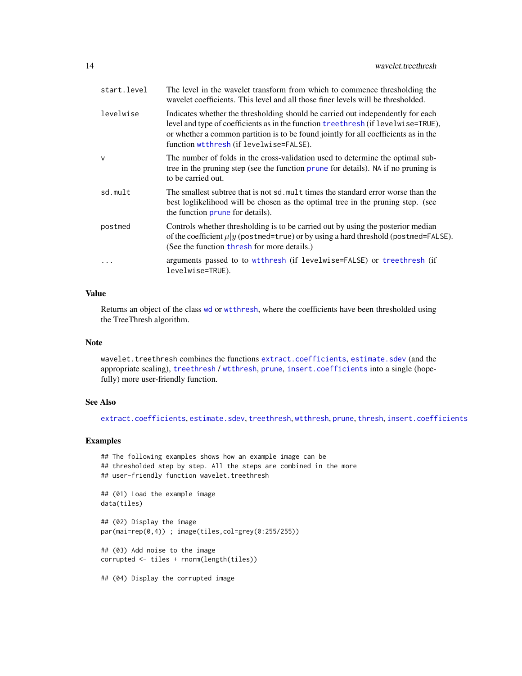<span id="page-13-0"></span>

| start.level  | The level in the wavelet transform from which to commence thresholding the<br>wavelet coefficients. This level and all those finer levels will be thresholded.                                                                                                                                         |
|--------------|--------------------------------------------------------------------------------------------------------------------------------------------------------------------------------------------------------------------------------------------------------------------------------------------------------|
| levelwise    | Indicates whether the thresholding should be carried out independently for each<br>level and type of coefficients as in the function treethresh (if levelwise=TRUE),<br>or whether a common partition is to be found jointly for all coefficients as in the<br>function wtthresh (if levelwise=FALSE). |
| $\mathsf{v}$ | The number of folds in the cross-validation used to determine the optimal sub-<br>tree in the pruning step (see the function prune for details). NA if no pruning is<br>to be carried out.                                                                                                             |
| sd.mult      | The smallest subtree that is not sd, mult times the standard error worse than the<br>best loglikelihood will be chosen as the optimal tree in the pruning step. (see<br>the function prune for details).                                                                                               |
| postmed      | Controls whether thresholding is to be carried out by using the posterior median<br>of the coefficient $\mu y$ (postmed=true) or by using a hard threshold (postmed=FALSE).<br>(See the function thresh for more details.)                                                                             |
| $\ddotsc$    | arguments passed to to wtthresh (if levelwise=FALSE) or treethresh (if<br>levelwise=TRUE).                                                                                                                                                                                                             |
|              |                                                                                                                                                                                                                                                                                                        |

## Value

Returns an object of the class [wd](#page-0-0) or [wtthresh](#page-14-1), where the coefficients have been thresholded using the TreeThresh algorithm.

#### Note

wavelet.treethresh combines the functions [extract.coefficients](#page-1-2), [estimate.sdev](#page-3-1) (and the appropriate scaling), [treethresh](#page-10-1) / [wtthresh](#page-14-1), [prune](#page-5-1), [insert.coefficients](#page-1-2) into a single (hopefully) more user-friendly function.

## See Also

[extract.coefficients](#page-1-2), [estimate.sdev](#page-3-1), [treethresh](#page-10-1), [wtthresh](#page-14-1), [prune](#page-5-1), [thresh](#page-8-1), [insert.coefficients](#page-1-2)

#### Examples

```
## The following examples shows how an example image can be
## thresholded step by step. All the steps are combined in the more
## user-friendly function wavelet.treethresh
## (01) Load the example image
data(tiles)
## (02) Display the image
par(mai=rep(0,4)) ; image(tiles,col=grey(0:255/255))
## (03) Add noise to the image
corrupted <- tiles + rnorm(length(tiles))
## (04) Display the corrupted image
```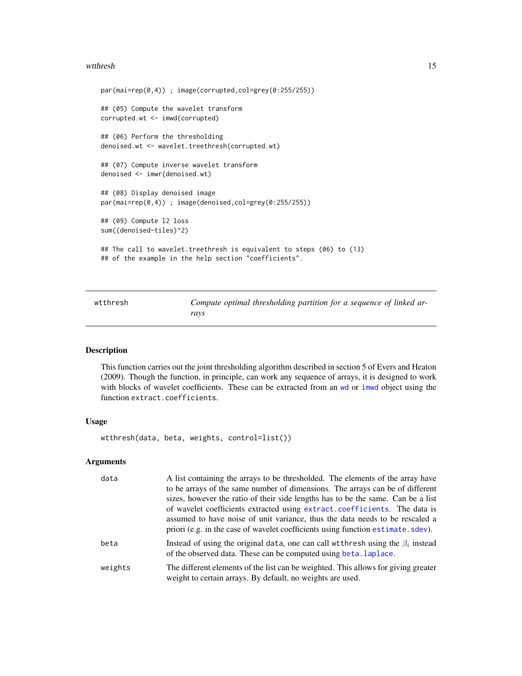#### <span id="page-14-0"></span>wtthresh 15

```
par(mai=rep(0,4)) ; image(corrupted,col=grey(0:255/255))
## (05) Compute the wavelet transform
corrupted.wt <- imwd(corrupted)
## (06) Perform the thresholding
denoised.wt <- wavelet.treethresh(corrupted.wt)
## (07) Compute inverse wavelet transform
denoised <- imwr(denoised.wt)
## (08) Display denoised image
par(mai=rep(0,4)) ; image(denoised,col=grey(0:255/255))
## (09) Compute l2 loss
sum((denoised-tiles)^2)
## The call to wavelet.treethresh is equivalent to steps (06) to (13)
## of the example in the help section "coefficients".
```
<span id="page-14-1"></span>wtthresh *Compute optimal thresholding partition for a sequence of linked arrays*

## Description

This function carries out the joint thresholding algorithm described in section 5 of Evers and Heaton (2009). Though the function, in principle, can work any sequence of arrays, it is designed to work with blocks of wavelet coefficients. These can be extracted from an [wd](#page-0-0) or [imwd](#page-0-0) object using the function extract.coefficients.

### Usage

wtthresh(data, beta, weights, control=list())

| data    | A list containing the arrays to be thresholded. The elements of the array have<br>to be arrays of the same number of dimensions. The arrays can be of different<br>sizes, however the ratio of their side lengths has to be the same. Can be a list<br>of wavelet coefficients extracted using extract.coefficients. The data is |
|---------|----------------------------------------------------------------------------------------------------------------------------------------------------------------------------------------------------------------------------------------------------------------------------------------------------------------------------------|
|         | assumed to have noise of unit variance, thus the data needs to be rescaled a<br>priori (e.g. in the case of wavelet coefficients using function estimate. sdev).                                                                                                                                                                 |
| beta    | Instead of using the original data, one can call wtthresh using the $\beta_i$ instead<br>of the observed data. These can be computed using beta. Laplace.                                                                                                                                                                        |
| weights | The different elements of the list can be weighted. This allows for giving greater<br>weight to certain arrays. By default, no weights are used.                                                                                                                                                                                 |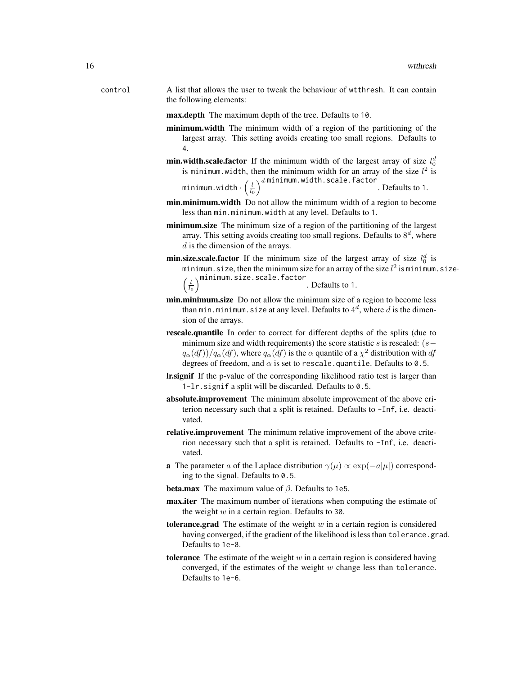- control A list that allows the user to tweak the behaviour of wtthresh. It can contain the following elements:
	- max.depth The maximum depth of the tree. Defaults to 10.
	- minimum.width The minimum width of a region of the partitioning of the largest array. This setting avoids creating too small regions. Defaults to 4.
	- **min.width.scale.factor** If the minimum width of the largest array of size  $l_0^d$ is minimum.width, then the minimum width for an array of the size  $l^2$  is d<sup>.</sup>minimum.width.scale.factor

minimum.width $\cdot \left( \frac{l}{l_{0}} \right.$ . Defaults to 1.

- min.minimum.width Do not allow the minimum width of a region to become less than min.minimum.width at any level. Defaults to 1.
- minimum.size The minimum size of a region of the partitioning of the largest array. This setting avoids creating too small regions. Defaults to  $8^d$ , where d is the dimension of the arrays.
- **min.size.scale.factor** If the minimum size of the largest array of size  $l_0^d$  is minimum.size, then the minimum size for an array of the size  $l^2$  is minimum.size $\cdot$  $\left(\frac{l}{l_0}\right)$ minimum.size.scale.factor . Defaults to 1.
- min.minimum.size Do not allow the minimum size of a region to become less than min.minimum.size at any level. Defaults to  $4^d$ , where  $d$  is the dimension of the arrays.
- rescale.quantile In order to correct for different depths of the splits (due to minimum size and width requirements) the score statistic s is rescaled:  $(s−$  $q_\alpha(df))/q_\alpha(df)$ , where  $q_\alpha(df)$  is the  $\alpha$  quantile of a  $\chi^2$  distribution with  $df$ degrees of freedom, and  $\alpha$  is set to rescale.quantile. Defaults to 0.5.
- lr.signif If the p-value of the corresponding likelihood ratio test is larger than 1-lr.signif a split will be discarded. Defaults to 0.5.
- absolute.improvement The minimum absolute improvement of the above criterion necessary such that a split is retained. Defaults to -Inf, i.e. deactivated.
- relative.improvement The minimum relative improvement of the above criterion necessary such that a split is retained. Defaults to -Inf, i.e. deactivated.
- **a** The parameter a of the Laplace distribution  $\gamma(\mu) \propto \exp(-a|\mu|)$  corresponding to the signal. Defaults to 0.5.
- **beta.max** The maximum value of  $\beta$ . Defaults to 1e5.
- max.iter The maximum number of iterations when computing the estimate of the weight  $w$  in a certain region. Defaults to 30.
- tolerance.grad The estimate of the weight  $w$  in a certain region is considered having converged, if the gradient of the likelihood is less than tolerance.grad. Defaults to 1e-8.
- tolerance The estimate of the weight  $w$  in a certain region is considered having converged, if the estimates of the weight  $w$  change less than tolerance. Defaults to 1e-6.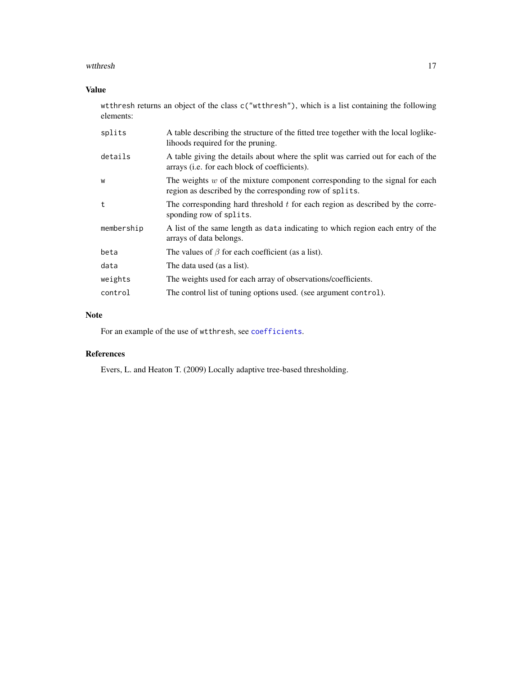#### <span id="page-16-0"></span>wtthresh 17

## Value

wtthresh returns an object of the class c("wtthresh"), which is a list containing the following elements:

| splits     | A table describing the structure of the fitted tree together with the local loglike-<br>lihoods required for the pruning.                 |
|------------|-------------------------------------------------------------------------------------------------------------------------------------------|
| details    | A table giving the details about where the split was carried out for each of the<br>arrays ( <i>i.e.</i> for each block of coefficients). |
| W          | The weights $w$ of the mixture component corresponding to the signal for each<br>region as described by the corresponding row of splits.  |
| t.         | The corresponding hard threshold t for each region as described by the corre-<br>sponding row of splits.                                  |
| membership | A list of the same length as data indicating to which region each entry of the<br>arrays of data belongs.                                 |
| beta       | The values of $\beta$ for each coefficient (as a list).                                                                                   |
| data       | The data used (as a list).                                                                                                                |
| weights    | The weights used for each array of observations/coefficients.                                                                             |
| control    | The control list of tuning options used. (see argument control).                                                                          |

## Note

For an example of the use of wtthresh, see [coefficients](#page-1-1).

#### References

Evers, L. and Heaton T. (2009) Locally adaptive tree-based thresholding.